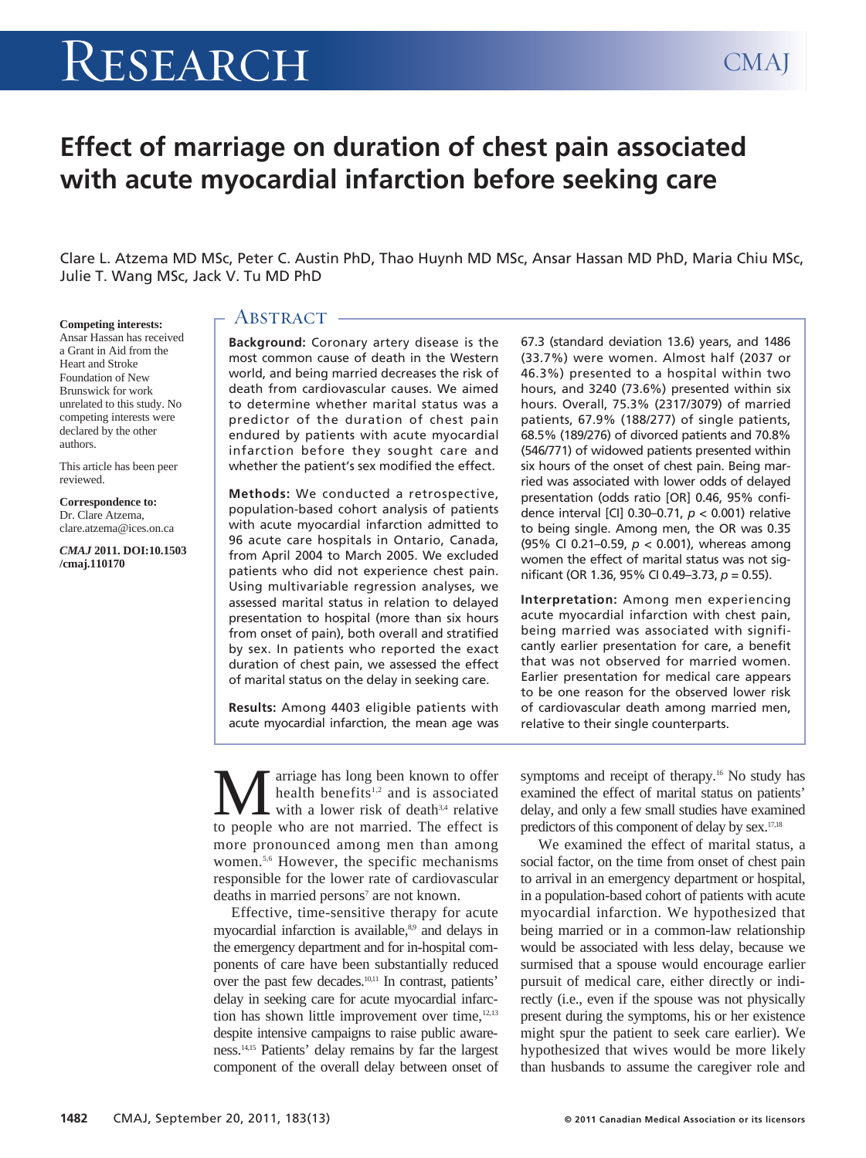# RESEARCH CMAJ

# **Effect of marriage on duration of chest pain associated with acute myocardial infarction before seeking care**

Clare L. Atzema MD MSc, Peter C. Austin PhD, Thao Huynh MD MSc, Ansar Hassan MD PhD, Maria Chiu MSc, Julie T. Wang MSc, Jack V. Tu MD PhD

#### **Competing interests:**

Ansar Hassan has received a Grant in Aid from the Heart and Stroke Foundation of New Brunswick for work unrelated to this study. No competing interests were declared by the other authors.

This article has been peer reviewed.

**Correspondence to:**  Dr. Clare Atzema, clare.atzema@ices.on.ca

*CMAJ* **2011. DOI:10.1503 /cmaj.110170**

# ABSTRACT -

**Background:** Coronary artery disease is the most common cause of death in the Western world, and being married decreases the risk of death from cardiovascular causes. We aimed to determine whether marital status was a predictor of the duration of chest pain endured by patients with acute myocardial infarction before they sought care and whether the patient's sex modified the effect.

**Methods:** We conducted a retrospective, population-based cohort analysis of patients with acute myocardial infarction admitted to 96 acute care hospitals in Ontario, Canada, from April 2004 to March 2005. We excluded patients who did not experience chest pain. Using multivariable regression analyses, we assessed marital status in relation to delayed presentation to hospital (more than six hours from onset of pain), both overall and stratified by sex. In patients who reported the exact duration of chest pain, we assessed the effect of marital status on the delay in seeking care.

**Results:** Among 4403 eligible patients with acute myocardial infarction, the mean age was 67.3 (standard deviation 13.6) years, and 1486 (33.7%) were women. Almost half (2037 or 46.3%) presented to a hospital within two hours, and 3240 (73.6%) presented within six hours. Overall, 75.3% (2317/3079) of married patients, 67.9% (188/277) of single patients, 68.5% (189/276) of divorced patients and 70.8% (546/771) of widowed patients presented within six hours of the onset of chest pain. Being married was associated with lower odds of delayed presentation (odds ratio [OR] 0.46, 95% confidence interval [CI] 0.30–0.71, *p* < 0.001) relative to being single. Among men, the OR was 0.35 (95% CI 0.21–0.59, *p* < 0.001), whereas among women the effect of marital status was not significant (OR 1.36, 95% CI 0.49–3.73, *p* = 0.55).

**Interpretation:** Among men experiencing acute myocardial infarction with chest pain, being married was associated with significantly earlier presentation for care, a benefit that was not observed for married women. Earlier presentation for medical care appears to be one reason for the observed lower risk of cardiovascular death among married men, relative to their single counterparts.

**M** arriage has long been known to offer<br>health benefits<sup>1,2</sup> and is associated<br>to people who are not married. The effect is health benefits<sup>1,2</sup> and is associated with a lower risk of death<sup>3,4</sup> relative to people who are not married. The effect is more pronounced among men than among women.<sup>5,6</sup> However, the specific mechanisms responsible for the lower rate of cardiovascular deaths in married persons<sup>7</sup> are not known.

Effective, time-sensitive therapy for acute myocardial infarction is available,<sup>8,9</sup> and delays in the emergency department and for in-hospital components of care have been substantially reduced over the past few decades.10,11 In contrast, patients' delay in seeking care for acute myocardial infarction has shown little improvement over time,<sup>12,13</sup> despite intensive campaigns to raise public awareness.14,15 Patients' delay remains by far the largest component of the overall delay between onset of symptoms and receipt of therapy.<sup>16</sup> No study has examined the effect of marital status on patients' delay, and only a few small studies have examined predictors of this component of delay by sex.17,18

We examined the effect of marital status, a social factor, on the time from onset of chest pain to arrival in an emergency department or hospital, in a population-based cohort of patients with acute myocardial infarction. We hypothesized that being married or in a common-law relationship would be associated with less delay, because we surmised that a spouse would encourage earlier pursuit of medical care, either directly or indirectly (i.e., even if the spouse was not physically present during the symptoms, his or her existence might spur the patient to seek care earlier). We hypothesized that wives would be more likely than husbands to assume the caregiver role and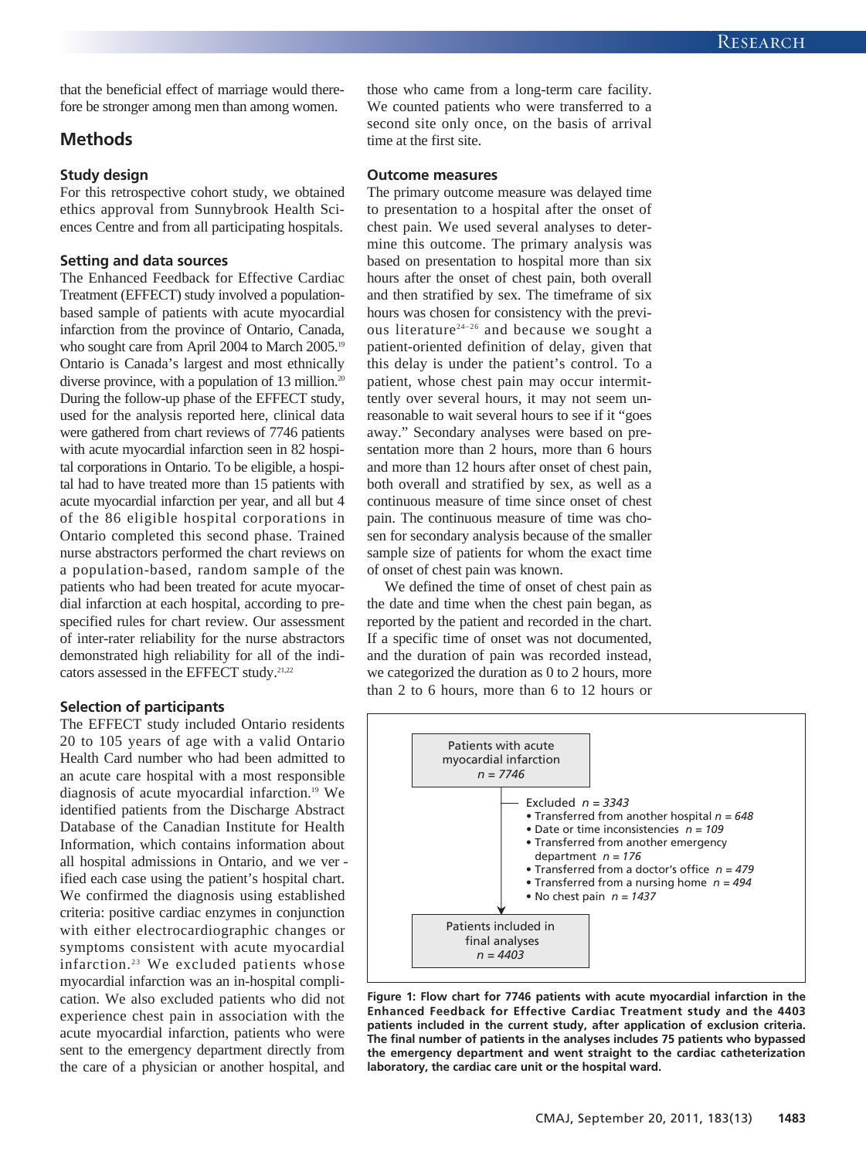that the beneficial effect of marriage would therefore be stronger among men than among women.

## **Methods**

#### **Study design**

For this retrospective cohort study, we obtained ethics approval from Sunnybrook Health Sciences Centre and from all participating hospitals.

#### **Setting and data sources**

The Enhanced Feedback for Effective Cardiac Treatment (EFFECT) study involved a populationbased sample of patients with acute myocardial infarction from the province of Ontario, Canada, who sought care from April 2004 to March 2005.<sup>19</sup> Ontario is Canada's largest and most ethnically diverse province, with a population of 13 million.<sup>20</sup> During the follow-up phase of the EFFECT study, used for the analysis reported here, clinical data were gathered from chart reviews of 7746 patients with acute myocardial infarction seen in 82 hospital corporations in Ontario. To be eligible, a hospital had to have treated more than 15 patients with acute myocardial infarction per year, and all but 4 of the 86 eligible hospital corporations in Ontario completed this second phase. Trained nurse abstractors performed the chart reviews on a population-based, random sample of the patients who had been treated for acute myocardial infarction at each hospital, according to prespecified rules for chart review. Our assessment of inter-rater reliability for the nurse abstractors demonstrated high reliability for all of the indicators assessed in the EFFECT study.<sup>21,22</sup>

#### **Selection of participants**

The EFFECT study included Ontario residents 20 to 105 years of age with a valid Ontario Health Card number who had been admitted to an acute care hospital with a most responsible diagnosis of acute myocardial infarction.<sup>19</sup> We identified patients from the Discharge Abstract Database of the Canadian Institute for Health Information, which contains information about all hospital admissions in Ontario, and we ver ified each case using the patient's hospital chart. We confirmed the diagnosis using established criteria: positive cardiac enzymes in conjunction with either electrocardiographic changes or symptoms consistent with acute myocardial infarction.<sup>23</sup> We excluded patients whose myocardial infarction was an in-hospital complication. We also excluded patients who did not experience chest pain in association with the acute myocardial infarction, patients who were sent to the emergency department directly from the care of a physician or another hospital, and

those who came from a long-term care facility. We counted patients who were transferred to a second site only once, on the basis of arrival time at the first site.

#### **Outcome measures**

The primary outcome measure was delayed time to presentation to a hospital after the onset of chest pain. We used several analyses to determine this outcome. The primary analysis was based on presentation to hospital more than six hours after the onset of chest pain, both overall and then stratified by sex. The timeframe of six hours was chosen for consistency with the previous literature24–26 and because we sought a patient-oriented definition of delay, given that this delay is under the patient's control. To a patient, whose chest pain may occur intermittently over several hours, it may not seem unreasonable to wait several hours to see if it "goes away." Secondary analyses were based on presentation more than 2 hours, more than 6 hours and more than 12 hours after onset of chest pain, both overall and stratified by sex, as well as a continuous measure of time since onset of chest pain. The continuous measure of time was chosen for secondary analysis because of the smaller sample size of patients for whom the exact time of onset of chest pain was known.

We defined the time of onset of chest pain as the date and time when the chest pain began, as reported by the patient and recorded in the chart. If a specific time of onset was not documented, and the duration of pain was recorded instead, we categorized the duration as 0 to 2 hours, more than 2 to 6 hours, more than 6 to 12 hours or



**Figure 1: Flow chart for 7746 patients with acute myocardial infarction in the Enhanced Feedback for Effective Cardiac Treatment study and the 4403 patients included in the current study, after application of exclusion criteria. The final number of patients in the analyses includes 75 patients who bypassed the emergency department and went straight to the cardiac catheterization laboratory, the cardiac care unit or the hospital ward.**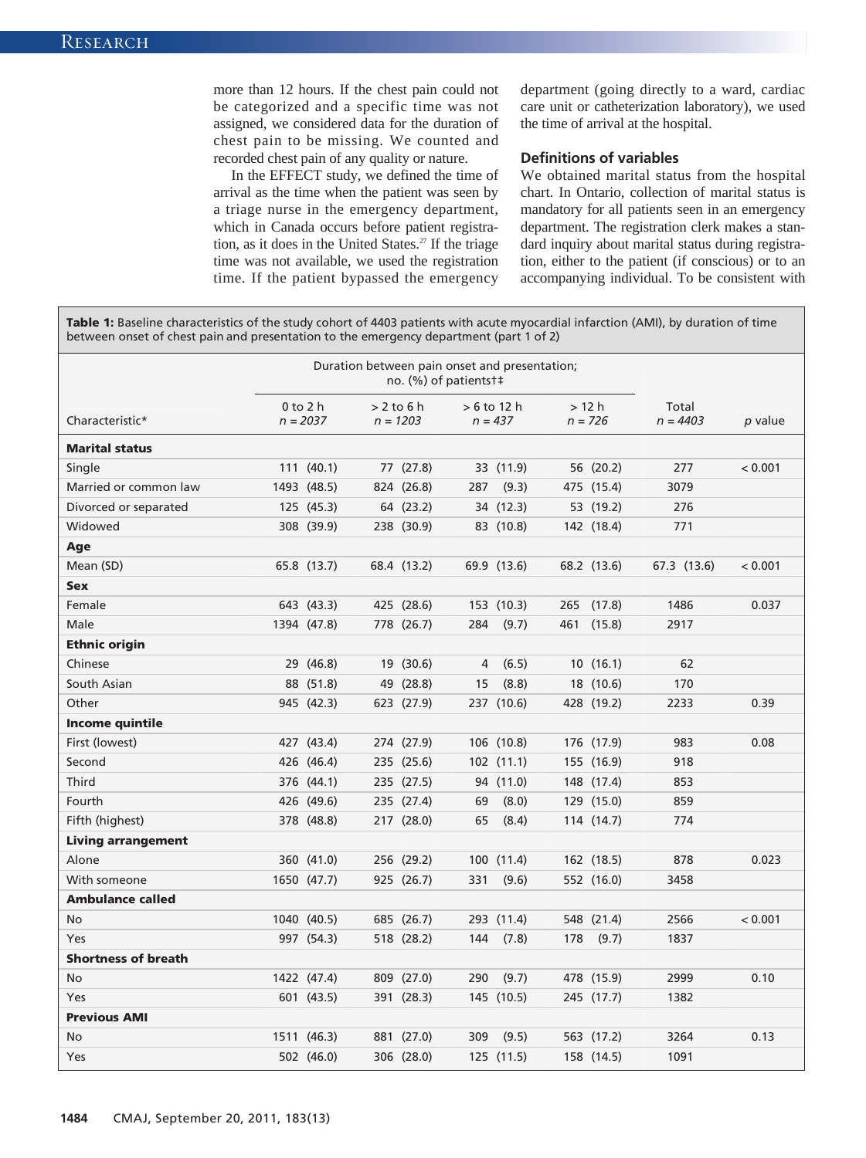more than 12 hours. If the chest pain could not be categorized and a specific time was not assigned, we considered data for the duration of chest pain to be missing. We counted and recorded chest pain of any quality or nature.

In the EFFECT study, we defined the time of arrival as the time when the patient was seen by a triage nurse in the emergency department, which in Canada occurs before patient registration, as it does in the United States.<sup>27</sup> If the triage time was not available, we used the registration time. If the patient bypassed the emergency

department (going directly to a ward, cardiac care unit or catheterization laboratory), we used the time of arrival at the hospital.

#### **Definitions of variables**

We obtained marital status from the hospital chart. In Ontario, collection of marital status is mandatory for all patients seen in an emergency department. The registration clerk makes a standard inquiry about marital status during registration, either to the patient (if conscious) or to an accompanying individual. To be consistent with

**Table 1:** Baseline characteristics of the study cohort of 4403 patients with acute myocardial infarction (AMI), by duration of time between onset of chest pain and presentation to the emergency department (part 1 of 2)

|                            | Duration between pain onset and presentation;<br>no. (%) of patients t‡ |              |  |              |     |              |     |             |             |         |
|----------------------------|-------------------------------------------------------------------------|--------------|--|--------------|-----|--------------|-----|-------------|-------------|---------|
|                            |                                                                         | $0$ to $2$ h |  | $> 2$ to 6 h |     | $>6$ to 12 h |     | >12 h       | Total       |         |
| Characteristic*            |                                                                         | $n = 2037$   |  | $n = 1203$   |     | $n = 437$    |     | $n = 726$   | $n = 4403$  | p value |
| <b>Marital status</b>      |                                                                         |              |  |              |     |              |     |             |             |         |
| Single                     |                                                                         | 111(40.1)    |  | 77 (27.8)    |     | 33 (11.9)    |     | 56 (20.2)   | 277         | < 0.001 |
| Married or common law      |                                                                         | 1493 (48.5)  |  | 824 (26.8)   | 287 | (9.3)        |     | 475 (15.4)  | 3079        |         |
| Divorced or separated      |                                                                         | 125 (45.3)   |  | 64 (23.2)    |     | 34 (12.3)    |     | 53 (19.2)   | 276         |         |
| Widowed                    |                                                                         | 308 (39.9)   |  | 238 (30.9)   |     | 83 (10.8)    |     | 142 (18.4)  | 771         |         |
| Age                        |                                                                         |              |  |              |     |              |     |             |             |         |
| Mean (SD)                  |                                                                         | 65.8 (13.7)  |  | 68.4 (13.2)  |     | 69.9 (13.6)  |     | 68.2 (13.6) | 67.3 (13.6) | < 0.001 |
| <b>Sex</b>                 |                                                                         |              |  |              |     |              |     |             |             |         |
| Female                     |                                                                         | 643 (43.3)   |  | 425 (28.6)   |     | 153 (10.3)   | 265 | (17.8)      | 1486        | 0.037   |
| Male                       |                                                                         | 1394 (47.8)  |  | 778 (26.7)   | 284 | (9.7)        | 461 | (15.8)      | 2917        |         |
| <b>Ethnic origin</b>       |                                                                         |              |  |              |     |              |     |             |             |         |
| Chinese                    |                                                                         | 29 (46.8)    |  | 19 (30.6)    | 4   | (6.5)        |     | 10(16.1)    | 62          |         |
| South Asian                |                                                                         | 88 (51.8)    |  | 49 (28.8)    | 15  | (8.8)        |     | 18 (10.6)   | 170         |         |
| Other                      |                                                                         | 945 (42.3)   |  | 623 (27.9)   |     | 237 (10.6)   |     | 428 (19.2)  | 2233        | 0.39    |
| <b>Income quintile</b>     |                                                                         |              |  |              |     |              |     |             |             |         |
| First (lowest)             |                                                                         | 427 (43.4)   |  | 274 (27.9)   |     | 106 (10.8)   |     | 176 (17.9)  | 983         | 0.08    |
| Second                     |                                                                         | 426 (46.4)   |  | 235 (25.6)   |     | 102(11.1)    |     | 155 (16.9)  | 918         |         |
| Third                      |                                                                         | 376 (44.1)   |  | 235 (27.5)   |     | 94 (11.0)    |     | 148 (17.4)  | 853         |         |
| Fourth                     |                                                                         | 426 (49.6)   |  | 235 (27.4)   | 69  | (8.0)        |     | 129 (15.0)  | 859         |         |
| Fifth (highest)            |                                                                         | 378 (48.8)   |  | 217 (28.0)   | 65  | (8.4)        |     | 114(14.7)   | 774         |         |
| <b>Living arrangement</b>  |                                                                         |              |  |              |     |              |     |             |             |         |
| Alone                      |                                                                         | 360 (41.0)   |  | 256 (29.2)   |     | 100 (11.4)   |     | 162 (18.5)  | 878         | 0.023   |
| With someone               |                                                                         | 1650 (47.7)  |  | 925 (26.7)   | 331 | (9.6)        |     | 552 (16.0)  | 3458        |         |
| <b>Ambulance called</b>    |                                                                         |              |  |              |     |              |     |             |             |         |
| <b>No</b>                  |                                                                         | 1040 (40.5)  |  | 685 (26.7)   |     | 293 (11.4)   |     | 548 (21.4)  | 2566        | < 0.001 |
| Yes                        |                                                                         | 997 (54.3)   |  | 518 (28.2)   | 144 | (7.8)        | 178 | (9.7)       | 1837        |         |
| <b>Shortness of breath</b> |                                                                         |              |  |              |     |              |     |             |             |         |
| <b>No</b>                  |                                                                         | 1422 (47.4)  |  | 809 (27.0)   | 290 | (9.7)        |     | 478 (15.9)  | 2999        | 0.10    |
| Yes                        |                                                                         | 601 (43.5)   |  | 391 (28.3)   |     | 145 (10.5)   |     | 245 (17.7)  | 1382        |         |
| <b>Previous AMI</b>        |                                                                         |              |  |              |     |              |     |             |             |         |
| No                         |                                                                         | 1511 (46.3)  |  | 881 (27.0)   | 309 | (9.5)        |     | 563 (17.2)  | 3264        | 0.13    |
| Yes                        |                                                                         | 502 (46.0)   |  | 306 (28.0)   |     | 125 (11.5)   |     | 158 (14.5)  | 1091        |         |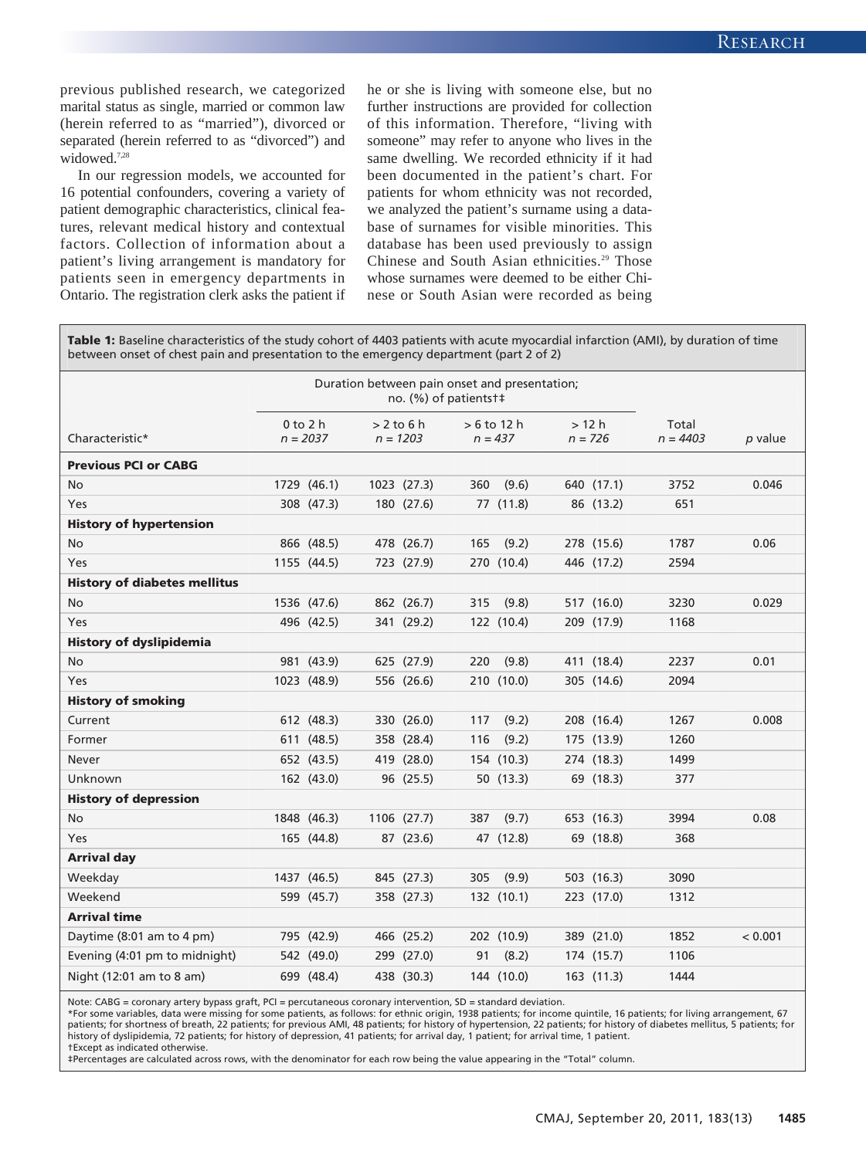previous published research, we categorized marital status as single, married or common law (herein referred to as "married"), divorced or separated (herein referred to as "divorced") and widowed.<sup>7,28</sup>

In our regression models, we accounted for 16 potential confounders, covering a variety of patient demographic characteristics, clinical features, relevant medical history and contextual factors. Collection of information about a patient's living arrangement is mandatory for patients seen in emergency departments in Ontario. The registration clerk asks the patient if he or she is living with someone else, but no further instructions are provided for collection of this information. Therefore, "living with someone" may refer to anyone who lives in the same dwelling. We recorded ethnicity if it had been documented in the patient's chart. For patients for whom ethnicity was not recorded, we analyzed the patient's surname using a database of surnames for visible minorities. This database has been used previously to assign Chinese and South Asian ethnicities.<sup>29</sup> Those whose surnames were deemed to be either Chinese or South Asian were recorded as being

**Table 1:** Baseline characteristics of the study cohort of 4403 patients with acute myocardial infarction (AMI), by duration of time between onset of chest pain and presentation to the emergency department (part 2 of 2)

|                                     | Duration between pain onset and presentation;<br>no. (%) of patients t# |              |              |             |     |               |  |            |            |         |
|-------------------------------------|-------------------------------------------------------------------------|--------------|--------------|-------------|-----|---------------|--|------------|------------|---------|
|                                     |                                                                         | $0$ to $2$ h | $> 2$ to 6 h |             |     | $> 6$ to 12 h |  | >12 h      | Total      |         |
| Characteristic*                     |                                                                         | $n = 2037$   | $n = 1203$   |             |     | $n = 437$     |  | $n = 726$  | $n = 4403$ | p value |
| <b>Previous PCI or CABG</b>         |                                                                         |              |              |             |     |               |  |            |            |         |
| No                                  |                                                                         | 1729 (46.1)  |              | 1023 (27.3) | 360 | (9.6)         |  | 640 (17.1) | 3752       | 0.046   |
| Yes                                 |                                                                         | 308 (47.3)   |              | 180 (27.6)  |     | 77 (11.8)     |  | 86 (13.2)  | 651        |         |
| <b>History of hypertension</b>      |                                                                         |              |              |             |     |               |  |            |            |         |
| No                                  |                                                                         | 866 (48.5)   |              | 478 (26.7)  | 165 | (9.2)         |  | 278 (15.6) | 1787       | 0.06    |
| Yes                                 |                                                                         | 1155 (44.5)  |              | 723 (27.9)  |     | 270 (10.4)    |  | 446 (17.2) | 2594       |         |
| <b>History of diabetes mellitus</b> |                                                                         |              |              |             |     |               |  |            |            |         |
| No                                  |                                                                         | 1536 (47.6)  |              | 862 (26.7)  | 315 | (9.8)         |  | 517 (16.0) | 3230       | 0.029   |
| Yes                                 |                                                                         | 496 (42.5)   |              | 341 (29.2)  |     | 122 (10.4)    |  | 209 (17.9) | 1168       |         |
| <b>History of dyslipidemia</b>      |                                                                         |              |              |             |     |               |  |            |            |         |
| No                                  |                                                                         | 981 (43.9)   |              | 625 (27.9)  | 220 | (9.8)         |  | 411 (18.4) | 2237       | 0.01    |
| Yes                                 |                                                                         | 1023 (48.9)  |              | 556 (26.6)  |     | 210 (10.0)    |  | 305 (14.6) | 2094       |         |
| <b>History of smoking</b>           |                                                                         |              |              |             |     |               |  |            |            |         |
| Current                             |                                                                         | 612 (48.3)   |              | 330 (26.0)  | 117 | (9.2)         |  | 208 (16.4) | 1267       | 0.008   |
| Former                              |                                                                         | 611 (48.5)   |              | 358 (28.4)  | 116 | (9.2)         |  | 175 (13.9) | 1260       |         |
| <b>Never</b>                        |                                                                         | 652 (43.5)   |              | 419 (28.0)  |     | 154 (10.3)    |  | 274 (18.3) | 1499       |         |
| Unknown                             |                                                                         | 162 (43.0)   |              | 96 (25.5)   |     | 50 (13.3)     |  | 69 (18.3)  | 377        |         |
| <b>History of depression</b>        |                                                                         |              |              |             |     |               |  |            |            |         |
| No                                  |                                                                         | 1848 (46.3)  |              | 1106 (27.7) | 387 | (9.7)         |  | 653 (16.3) | 3994       | 0.08    |
| Yes                                 |                                                                         | 165 (44.8)   |              | 87 (23.6)   |     | 47 (12.8)     |  | 69 (18.8)  | 368        |         |
| <b>Arrival day</b>                  |                                                                         |              |              |             |     |               |  |            |            |         |
| Weekday                             |                                                                         | 1437 (46.5)  |              | 845 (27.3)  | 305 | (9.9)         |  | 503 (16.3) | 3090       |         |
| Weekend                             |                                                                         | 599 (45.7)   |              | 358 (27.3)  |     | 132 (10.1)    |  | 223 (17.0) | 1312       |         |
| <b>Arrival time</b>                 |                                                                         |              |              |             |     |               |  |            |            |         |
| Daytime (8:01 am to 4 pm)           |                                                                         | 795 (42.9)   |              | 466 (25.2)  |     | 202 (10.9)    |  | 389 (21.0) | 1852       | < 0.001 |
| Evening (4:01 pm to midnight)       |                                                                         | 542 (49.0)   |              | 299 (27.0)  | 91  | (8.2)         |  | 174 (15.7) | 1106       |         |
| Night (12:01 am to 8 am)            |                                                                         | 699 (48.4)   |              | 438 (30.3)  |     | 144 (10.0)    |  | 163 (11.3) | 1444       |         |

Note: CABG = coronary artery bypass graft, PCI = percutaneous coronary intervention, SD = standard deviation.

\*For some variables, data were missing for some patients, as follows: for ethnic origin, 1938 patients; for income quintile, 16 patients; for living arrangement, 67 patients; for shortness of breath, 22 patients; for previous AMI, 48 patients; for history of hypertension, 22 patients; for history of diabetes mellitus, 5 patients; for history of dyslipidemia, 72 patients; for history of depression, 41 patients; for arrival day, 1 patient; for arrival time, 1 patient. †Except as indicated otherwise.

‡Percentages are calculated across rows, with the denominator for each row being the value appearing in the "Total" column.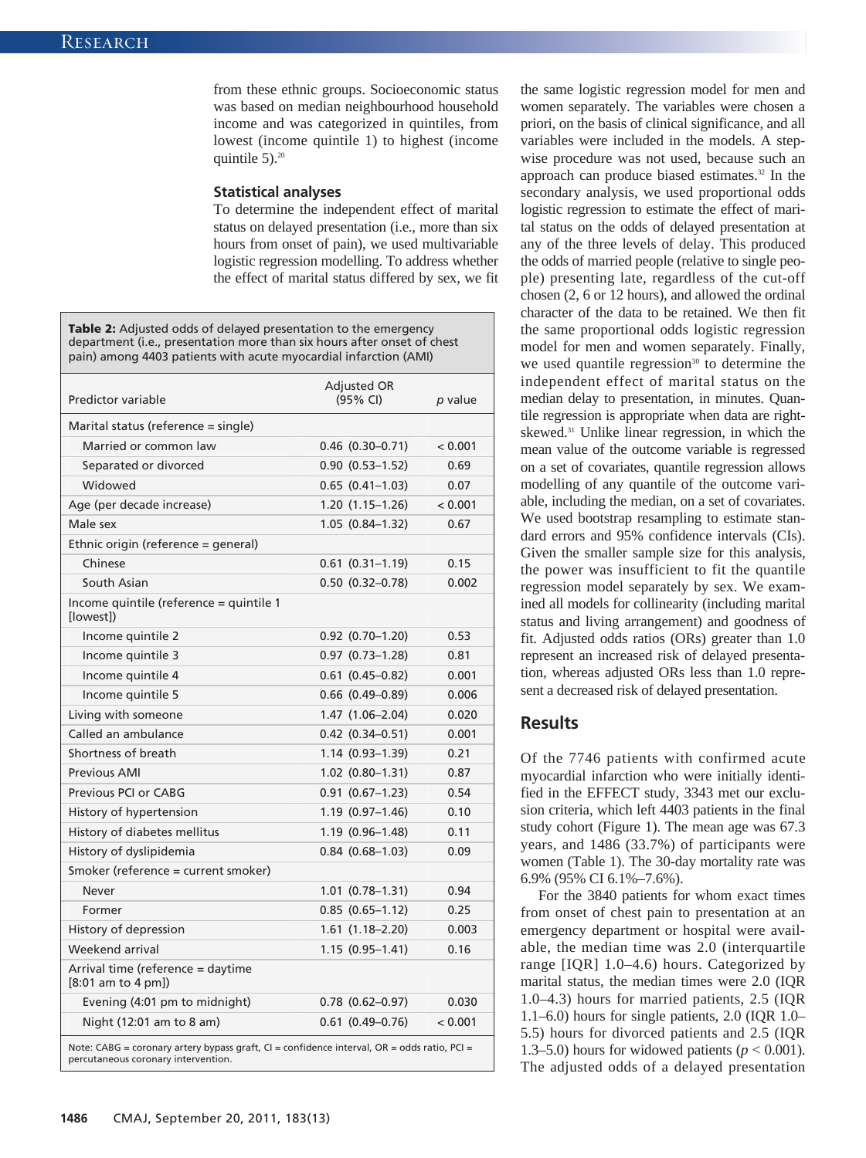from these ethnic groups. Socioeconomic status was based on median neighbourhood household income and was categorized in quintiles, from lowest (income quintile 1) to highest (income quintile  $5$ ).<sup>20</sup>

#### **Statistical analyses**

To determine the independent effect of marital status on delayed presentation (i.e., more than six hours from onset of pain), we used multivariable logistic regression modelling. To address whether the effect of marital status differed by sex, we fit

| <b>Table 2:</b> Adjusted odds of delayed presentation to the emergency<br>department (i.e., presentation more than six hours after onset of chest<br>pain) among 4403 patients with acute myocardial infarction (AMI) |                         |         |  |  |  |  |  |  |
|-----------------------------------------------------------------------------------------------------------------------------------------------------------------------------------------------------------------------|-------------------------|---------|--|--|--|--|--|--|
| Predictor variable                                                                                                                                                                                                    | Adjusted OR<br>(95% CI) | p value |  |  |  |  |  |  |
| Marital status (reference = single)                                                                                                                                                                                   |                         |         |  |  |  |  |  |  |
| Married or common law                                                                                                                                                                                                 | $0.46$ $(0.30 - 0.71)$  | < 0.001 |  |  |  |  |  |  |
| Separated or divorced                                                                                                                                                                                                 | $0.90(0.53 - 1.52)$     | 0.69    |  |  |  |  |  |  |
| Widowed                                                                                                                                                                                                               | $0.65$ $(0.41-1.03)$    | 0.07    |  |  |  |  |  |  |
| Age (per decade increase)                                                                                                                                                                                             | $1.20(1.15-1.26)$       | < 0.001 |  |  |  |  |  |  |
| Male sex                                                                                                                                                                                                              | $1.05(0.84 - 1.32)$     | 0.67    |  |  |  |  |  |  |
| Ethnic origin (reference = general)                                                                                                                                                                                   |                         |         |  |  |  |  |  |  |
| Chinese                                                                                                                                                                                                               | $0.61$ $(0.31-1.19)$    | 0.15    |  |  |  |  |  |  |
| South Asian                                                                                                                                                                                                           | $0.50$ $(0.32 - 0.78)$  | 0.002   |  |  |  |  |  |  |
| Income quintile (reference = quintile 1<br>[lowest])                                                                                                                                                                  |                         |         |  |  |  |  |  |  |
| Income quintile 2                                                                                                                                                                                                     | $0.92$ $(0.70 - 1.20)$  | 0.53    |  |  |  |  |  |  |
| Income quintile 3                                                                                                                                                                                                     | $0.97$ $(0.73 - 1.28)$  | 0.81    |  |  |  |  |  |  |
| Income quintile 4                                                                                                                                                                                                     | $0.61$ $(0.45 - 0.82)$  | 0.001   |  |  |  |  |  |  |
| Income quintile 5                                                                                                                                                                                                     | $0.66$ $(0.49 - 0.89)$  | 0.006   |  |  |  |  |  |  |
| Living with someone                                                                                                                                                                                                   | 1.47 (1.06-2.04)        | 0.020   |  |  |  |  |  |  |
| Called an ambulance                                                                                                                                                                                                   | $0.42$ $(0.34 - 0.51)$  | 0.001   |  |  |  |  |  |  |
| Shortness of breath                                                                                                                                                                                                   | $1.14(0.93 - 1.39)$     | 0.21    |  |  |  |  |  |  |
| <b>Previous AMI</b>                                                                                                                                                                                                   | $1.02$ $(0.80 - 1.31)$  | 0.87    |  |  |  |  |  |  |
| Previous PCI or CABG                                                                                                                                                                                                  | $0.91$ $(0.67-1.23)$    | 0.54    |  |  |  |  |  |  |
| History of hypertension                                                                                                                                                                                               | $1.19(0.97-1.46)$       | 0.10    |  |  |  |  |  |  |
| History of diabetes mellitus                                                                                                                                                                                          | $1.19(0.96 - 1.48)$     | 0.11    |  |  |  |  |  |  |
| History of dyslipidemia                                                                                                                                                                                               | $0.84$ $(0.68 - 1.03)$  | 0.09    |  |  |  |  |  |  |
| Smoker (reference = current smoker)                                                                                                                                                                                   |                         |         |  |  |  |  |  |  |
| Never                                                                                                                                                                                                                 | $1.01$ $(0.78 - 1.31)$  | 0.94    |  |  |  |  |  |  |
| Former                                                                                                                                                                                                                | $0.85(0.65 - 1.12)$     | 0.25    |  |  |  |  |  |  |
| History of depression                                                                                                                                                                                                 | $1.61$ $(1.18 - 2.20)$  | 0.003   |  |  |  |  |  |  |
| Weekend arrival                                                                                                                                                                                                       | $1.15(0.95 - 1.41)$     | 0.16    |  |  |  |  |  |  |
| Arrival time (reference = daytime<br>$[8:01$ am to 4 pm])                                                                                                                                                             |                         |         |  |  |  |  |  |  |
| Evening (4:01 pm to midnight)                                                                                                                                                                                         | $0.78$ $(0.62 - 0.97)$  | 0.030   |  |  |  |  |  |  |
| Night (12:01 am to 8 am)                                                                                                                                                                                              | $0.61$ $(0.49-0.76)$    | < 0.001 |  |  |  |  |  |  |
| Note: CABG = coronary artery bypass graft, CI = confidence interval, OR = odds ratio, PCI =                                                                                                                           |                         |         |  |  |  |  |  |  |

the same logistic regression model for men and women separately. The variables were chosen a priori, on the basis of clinical significance, and all variables were included in the models. A stepwise procedure was not used, because such an approach can produce biased estimates.<sup>32</sup> In the secondary analysis, we used proportional odds logistic regression to estimate the effect of marital status on the odds of delayed presentation at any of the three levels of delay. This produced the odds of married people (relative to single people) presenting late, regardless of the cut-off chosen  $(2, 6 \text{ or } 12 \text{ hours})$ , and allowed the ordinal character of the data to be retained. We then fit the same proportional odds logistic regression model for men and women separately. Finally, we used quantile regression $30$  to determine the independent effect of marital status on the median delay to presentation, in minutes. Quantile regression is appropriate when data are rightskewed.31 Unlike linear regression, in which the mean value of the outcome variable is regressed on a set of covariates, quantile regression allows modelling of any quantile of the outcome variable, including the median, on a set of covariates. We used bootstrap resampling to estimate standard errors and 95% confidence intervals (CIs). Given the smaller sample size for this analysis, the power was insufficient to fit the quantile regression model separately by sex. We examined all models for collinearity (including marital status and living arrangement) and goodness of fit. Adjusted odds ratios (ORs) greater than 1.0 represent an increased risk of delayed presentation, whereas adjusted ORs less than 1.0 represent a decreased risk of delayed presentation.

# **Results**

Of the 7746 patients with confirmed acute myocardial infarction who were initially identified in the EFFECT study, 3343 met our exclusion criteria, which left 4403 patients in the final study cohort (Figure 1). The mean age was 67.3 years, and 1486 (33.7%) of participants were women (Table 1). The 30-day mortality rate was 6.9% (95% CI 6.1%–7.6%).

For the 3840 patients for whom exact times from onset of chest pain to presentation at an emergency department or hospital were available, the median time was 2.0 (interquartile range [IQR] 1.0–4.6) hours. Categorized by marital status, the median times were 2.0 (IQR 1.0–4.3) hours for married patients, 2.5 (IQR 1.1–6.0) hours for single patients, 2.0 (IQR 1.0– 5.5) hours for divorced patients and 2.5 (IQR 1.3–5.0) hours for widowed patients ( $p < 0.001$ ). The adjusted odds of a delayed presentation

percutaneous coronary intervention.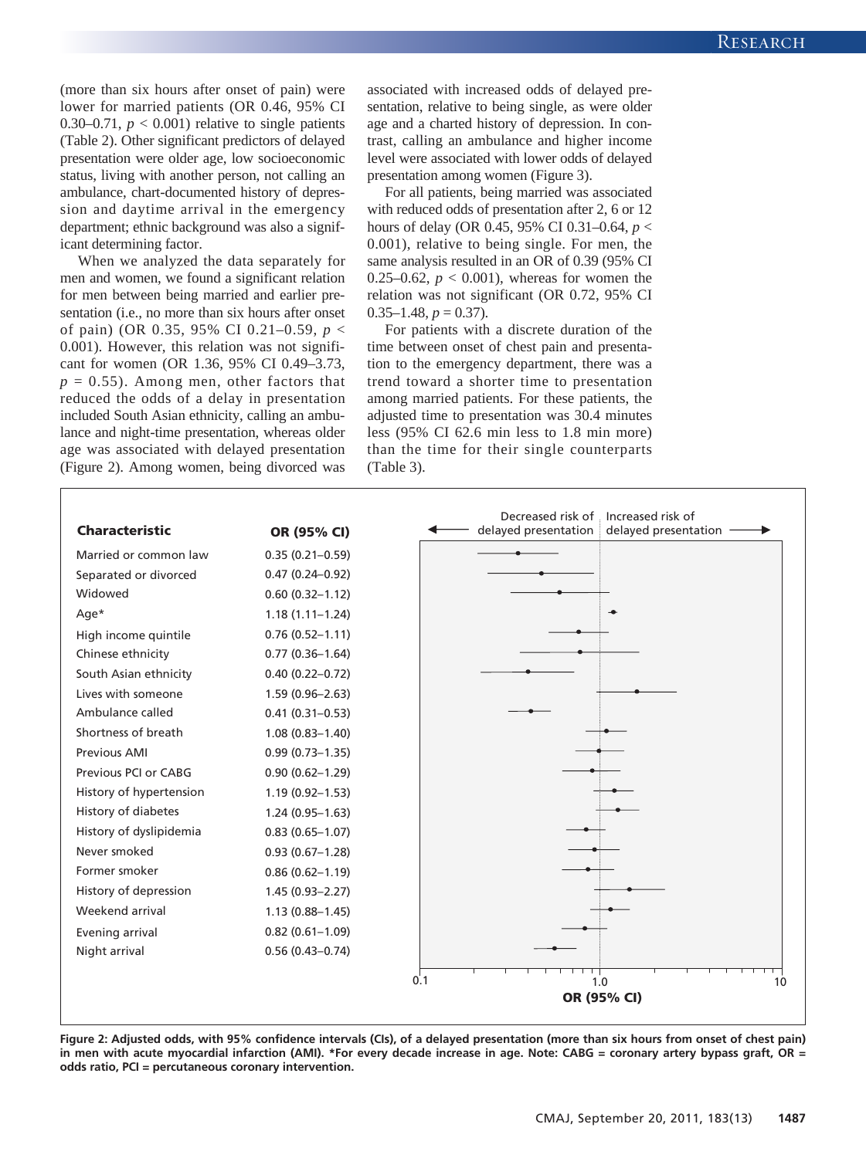(more than six hours after onset of pain) were lower for married patients (OR 0.46, 95% CI 0.30–0.71,  $p < 0.001$ ) relative to single patients (Table 2). Other significant predictors of delayed presentation were older age, low socioeconomic status, living with another person, not calling an ambulance, chart-documented history of depression and daytime arrival in the emergency department; ethnic background was also a significant determining factor.

When we analyzed the data separately for men and women, we found a significant relation for men between being married and earlier presentation (i.e., no more than six hours after onset of pain) (OR 0.35, 95% CI 0.21–0.59, *p* < 0.001). However, this relation was not significant for women (OR 1.36, 95% CI 0.49–3.73,  $p = 0.55$ ). Among men, other factors that reduced the odds of a delay in presentation included South Asian ethnicity, calling an ambulance and night-time presentation, whereas older age was associated with delayed presentation (Figure 2). Among women, being divorced was associated with increased odds of delayed presentation, relative to being single, as were older age and a charted history of depression. In contrast, calling an ambulance and higher income level were associated with lower odds of delayed presentation among women (Figure 3).

For all patients, being married was associated with reduced odds of presentation after 2, 6 or 12 hours of delay (OR 0.45, 95% CI 0.31–0.64, *p* < 0.001), relative to being single. For men, the same analysis resulted in an OR of 0.39 (95% CI 0.25–0.62,  $p < 0.001$ ), whereas for women the relation was not significant (OR 0.72, 95% CI  $0.35-1.48, p = 0.37$ .

For patients with a discrete duration of the time between onset of chest pain and presentation to the emergency department, there was a trend toward a shorter time to presentation among married patients. For these patients, the adjusted time to presentation was 30.4 minutes less (95% CI 62.6 min less to 1.8 min more) than the time for their single counterparts (Table 3).



**Figure 2: Adjusted odds, with 95% confidence intervals (CIs), of a delayed presentation (more than six hours from onset of chest pain) in men with acute myocardial infarction (AMI). \*For every decade increase in age. Note: CABG = coronary artery bypass graft, OR = odds ratio, PCI = percutaneous coronary intervention.**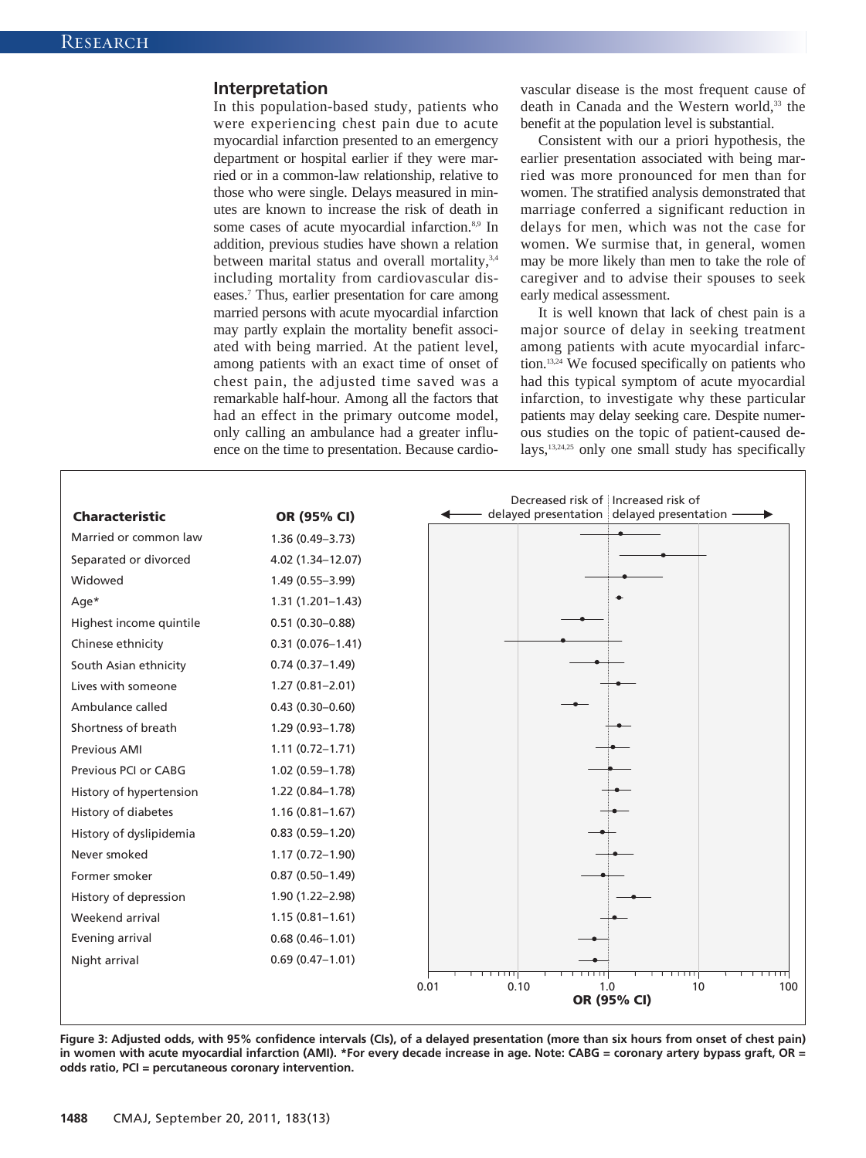### **Interpretation**

In this population-based study, patients who were experiencing chest pain due to acute myocardial infarction presented to an emergency department or hospital earlier if they were married or in a common-law relationship, relative to those who were single. Delays measured in minutes are known to increase the risk of death in some cases of acute myocardial infarction.<sup>8,9</sup> In addition, previous studies have shown a relation between marital status and overall mortality,<sup>3,4</sup> including mortality from cardiovascular diseases.7 Thus, earlier presentation for care among married persons with acute myocardial infarction may partly explain the mortality benefit associated with being married. At the patient level, among patients with an exact time of onset of chest pain, the adjusted time saved was a remarkable half-hour. Among all the factors that had an effect in the primary outcome model, only calling an ambulance had a greater influence on the time to presentation. Because cardiovascular disease is the most frequent cause of death in Canada and the Western world,<sup>33</sup> the benefit at the population level is substantial.

Consistent with our a priori hypothesis, the earlier presentation associated with being married was more pronounced for men than for women. The stratified analysis demonstrated that marriage conferred a significant reduction in delays for men, which was not the case for women. We surmise that, in general, women may be more likely than men to take the role of caregiver and to advise their spouses to seek early medical assessment.

It is well known that lack of chest pain is a major source of delay in seeking treatment among patients with acute myocardial infarction.13,24 We focused specifically on patients who had this typical symptom of acute myocardial infarction, to investigate why these particular patients may delay seeking care. Despite numerous studies on the topic of patient-caused de lays,13,24,25 only one small study has specifically



**Figure 3: Adjusted odds, with 95% confidence intervals (CIs), of a delayed presentation (more than six hours from onset of chest pain) in women with acute myocardial infarction (AMI). \*For every decade increase in age. Note: CABG = coronary artery bypass graft, OR = odds ratio, PCI = percutaneous coronary intervention.**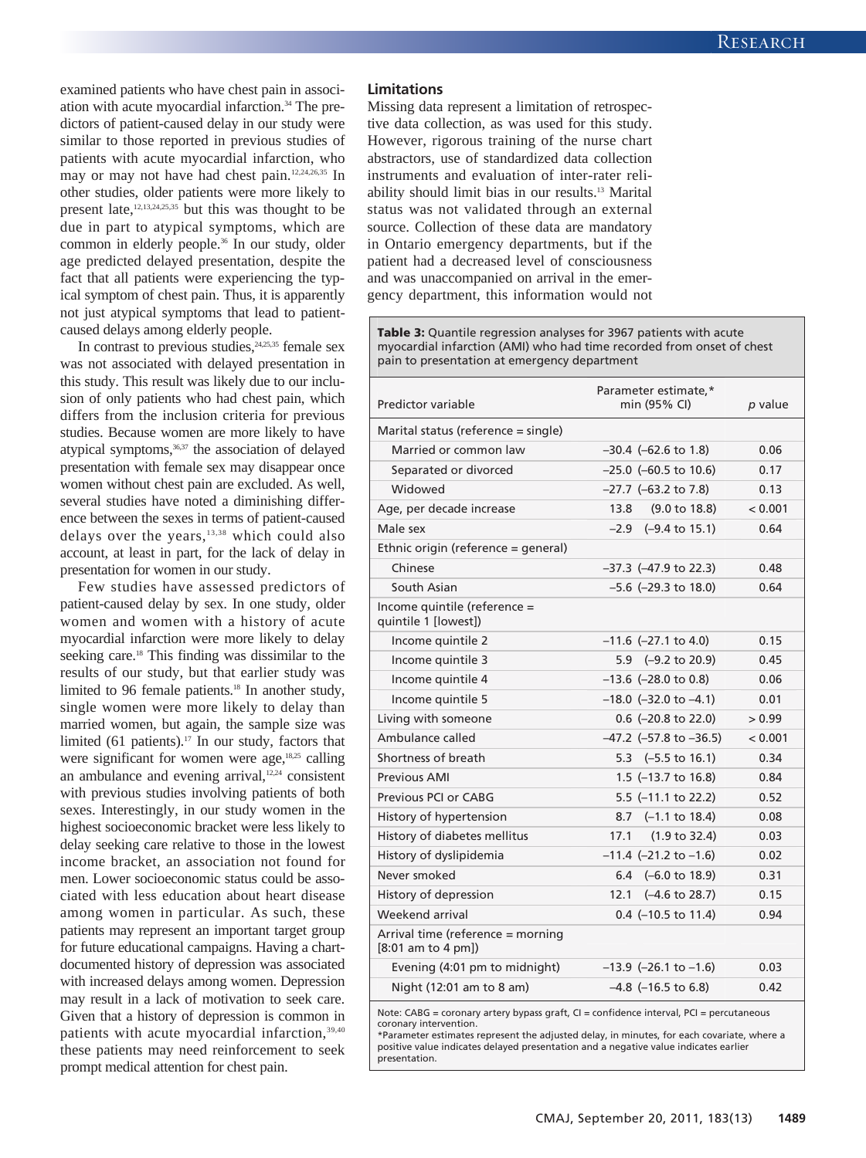examined patients who have chest pain in association with acute myocardial infarction.34 The predictors of patient-caused delay in our study were similar to those reported in previous studies of patients with acute myocardial infarction, who may or may not have had chest pain.12,24,26,35 In other studies, older patients were more likely to present late, $12,13,24,25,35$  but this was thought to be due in part to atypical symptoms, which are common in elderly people.<sup>36</sup> In our study, older age predicted delayed presentation, despite the fact that all patients were experiencing the typical symptom of chest pain. Thus, it is apparently not just atypical symptoms that lead to patientcaused delays among elderly people.

In contrast to previous studies, $24,25,35$  female sex was not associated with delayed presentation in this study. This result was likely due to our inclusion of only patients who had chest pain, which differs from the inclusion criteria for previous studies. Because women are more likely to have atypical symptoms,<sup>36,37</sup> the association of delayed presentation with female sex may disappear once women without chest pain are excluded. As well, several studies have noted a diminishing difference between the sexes in terms of patient-caused delays over the years,13,38 which could also account, at least in part, for the lack of delay in presentation for women in our study.

Few studies have assessed predictors of patient-caused delay by sex. In one study, older women and women with a history of acute myocardial infarction were more likely to delay seeking care.<sup>18</sup> This finding was dissimilar to the results of our study, but that earlier study was limited to 96 female patients.<sup>18</sup> In another study, single women were more likely to delay than married women, but again, the sample size was limited (61 patients).<sup>17</sup> In our study, factors that were significant for women were age,<sup>18,25</sup> calling an ambulance and evening arrival, $12,24$  consistent with previous studies involving patients of both sexes. Interestingly, in our study women in the highest socioeconomic bracket were less likely to delay seeking care relative to those in the lowest income bracket, an association not found for men. Lower socioeconomic status could be associated with less education about heart disease among women in particular. As such, these patients may represent an important target group for future educational campaigns. Having a chartdocumented history of depression was associated with increased delays among women. Depression may result in a lack of motivation to seek care. Given that a history of depression is common in patients with acute myocardial infarction, 39,40 these patients may need reinforcement to seek prompt medical attention for chest pain.

#### **Limitations**

Missing data represent a limitation of retrospective data collection, as was used for this study. However, rigorous training of the nurse chart abstractors, use of standardized data collection instruments and evaluation of inter-rater reliability should limit bias in our results.13 Marital status was not validated through an external source. Collection of these data are mandatory in Ontario emergency departments, but if the patient had a decreased level of consciousness and was unaccompanied on arrival in the emergency department, this information would not

**Table 3:** Quantile regression analyses for 3967 patients with acute myocardial infarction (AMI) who had time recorded from onset of chest pain to presentation at emergency department

| Predictor variable                                      | Parameter estimate,*<br>min (95% CI) | p value |
|---------------------------------------------------------|--------------------------------------|---------|
| Marital status (reference = single)                     |                                      |         |
| Married or common law                                   | $-30.4$ ( $-62.6$ to 1.8)            | 0.06    |
| Separated or divorced                                   | $-25.0$ ( $-60.5$ to 10.6)           | 0.17    |
| Widowed                                                 | $-27.7$ ( $-63.2$ to 7.8)            | 0.13    |
| Age, per decade increase                                | 13.8<br>$(9.0 \text{ to } 18.8)$     | < 0.001 |
| Male sex                                                | $-2.9$ $(-9.4 \text{ to } 15.1)$     | 0.64    |
| Ethnic origin (reference = general)                     |                                      |         |
| Chinese                                                 | $-37.3$ ( $-47.9$ to 22.3)           | 0.48    |
| South Asian                                             | $-5.6$ ( $-29.3$ to 18.0)            | 0.64    |
| Income quintile (reference =<br>quintile 1 [lowest])    |                                      |         |
| Income quintile 2                                       | $-11.6$ ( $-27.1$ to 4.0)            | 0.15    |
| Income quintile 3                                       | 5.9 (-9.2 to 20.9)                   | 0.45    |
| Income quintile 4                                       | $-13.6$ ( $-28.0$ to 0.8)            | 0.06    |
| Income quintile 5                                       | $-18.0$ ( $-32.0$ to $-4.1$ )        | 0.01    |
| Living with someone                                     | $0.6$ (-20.8 to 22.0)                | > 0.99  |
| Ambulance called                                        | $-47.2$ ( $-57.8$ to $-36.5$ )       | < 0.001 |
| Shortness of breath                                     | (–5.5 to 16.1)<br>5.3                | 0.34    |
| Previous AMI                                            | 1.5 $(-13.7 \text{ to } 16.8)$       | 0.84    |
| Previous PCI or CABG                                    | 5.5 (-11.1 to 22.2)                  | 0.52    |
| History of hypertension                                 | $8.7$ $(-1.1 \text{ to } 18.4)$      | 0.08    |
| History of diabetes mellitus                            | 17.1<br>(1.9 to 32.4)                | 0.03    |
| History of dyslipidemia                                 | $-11.4$ ( $-21.2$ to $-1.6$ )        | 0.02    |
| Never smoked                                            | 6.4 $(-6.0 \text{ to } 18.9)$        | 0.31    |
| History of depression                                   | 12.1<br>$(-4.6 \text{ to } 28.7)$    | 0.15    |
| Weekend arrival                                         | $0.4$ (-10.5 to 11.4)                | 0.94    |
| Arrival time (reference = morning<br>[8:01 am to 4 pm]) |                                      |         |
| Evening (4:01 pm to midnight)                           | $-13.9$ ( $-26.1$ to $-1.6$ )        | 0.03    |
| Night (12:01 am to 8 am)                                | $-4.8$ ( $-16.5$ to 6.8)             | 0.42    |

Note:  $CABG =$  coronary artery bypass graft,  $CI =$  confidence interval,  $PCI =$  percutaneous coronary intervention.

\*Parameter estimates represent the adjusted delay, in minutes, for each covariate, where a positive value indicates delayed presentation and a negative value indicates earlier presentation.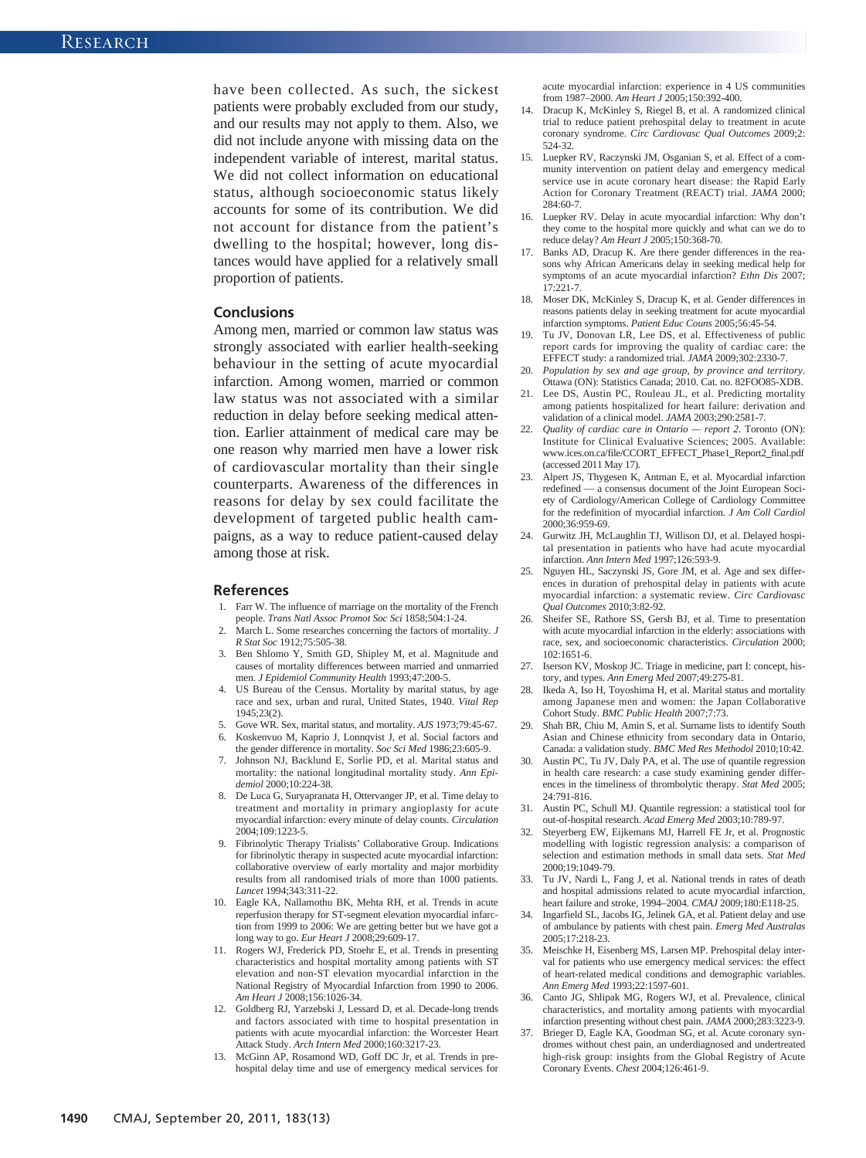have been collected. As such, the sickest patients were probably excluded from our study, and our results may not apply to them. Also, we did not include anyone with missing data on the independent variable of interest, marital status. We did not collect information on educational status, although socioeconomic status likely accounts for some of its contribution. We did not account for distance from the patient's dwelling to the hospital; however, long distances would have applied for a relatively small proportion of patients.

#### **Conclusions**

Among men, married or common law status was strongly associated with earlier health-seeking behaviour in the setting of acute myocardial infarction. Among women, married or common law status was not associated with a similar reduction in delay before seeking medical attention. Earlier attainment of medical care may be one reason why married men have a lower risk of cardiovascular mortality than their single counterparts. Awareness of the differences in reasons for delay by sex could facilitate the development of targeted public health campaigns, as a way to reduce patient-caused delay among those at risk.

#### **References**

- 1. Farr W. The influence of marriage on the mortality of the French people. *Trans Natl Assoc Promot Soc Sci* 1858;504:1-24.
- 2. March L. Some researches concerning the factors of mortality. *J R Stat Soc* 1912;75:505-38.
- 3. Ben Shlomo Y, Smith GD, Shipley M, et al. Magnitude and causes of mortality differences between married and unmarried men. *J Epidemiol Community Health* 1993;47:200-5.
- 4. US Bureau of the Census. Mortality by marital status, by age race and sex, urban and rural, United States, 1940. *Vital Rep* 1945;23(2).
- 5. Gove WR. Sex, marital status, and mortality. *AJS* 1973;79:45-67.
- 6. Koskenvuo M, Kaprio J, Lonnqvist J, et al. Social factors and the gender difference in mortality. *Soc Sci Med* 1986;23:605-9.
- 7. Johnson NJ, Backlund E, Sorlie PD, et al. Marital status and mortality: the national longitudinal mortality study. *Ann Epidemiol* 2000;10:224-38.
- 8. De Luca G, Suryapranata H, Ottervanger JP, et al. Time delay to treatment and mortality in primary angioplasty for acute myocardial infarction: every minute of delay counts. *Circulation* 2004;109:1223-5.
- 9. Fibrinolytic Therapy Trialists' Collaborative Group. Indications for fibrinolytic therapy in suspected acute myocardial infarction: collaborative overview of early mortality and major morbidity results from all randomised trials of more than 1000 patients. *Lancet* 1994;343:311-22.
- 10. Eagle KA, Nallamothu BK, Mehta RH, et al. Trends in acute reperfusion therapy for ST-segment elevation myocardial infarction from 1999 to 2006: We are getting better but we have got a long way to go. *Eur Heart J* 2008;29:609-17.
- 11. Rogers WJ, Frederick PD, Stoehr E, et al. Trends in presenting characteristics and hospital mortality among patients with ST elevation and non-ST elevation myocardial infarction in the National Registry of Myocardial Infarction from 1990 to 2006. *Am Heart J* 2008;156:1026-34.
- 12. Goldberg RJ, Yarzebski J, Lessard D, et al. Decade-long trends and factors associated with time to hospital presentation in patients with acute myocardial infarction: the Worcester Heart Attack Study. *Arch Intern Med* 2000;160:3217-23.
- 13. McGinn AP, Rosamond WD, Goff DC Jr, et al. Trends in prehospital delay time and use of emergency medical services for

acute myocardial infarction: experience in 4 US communities from 1987–2000. *Am Heart J* 2005;150:392-400.

- 14. Dracup K, McKinley S, Riegel B, et al. A randomized clinical trial to reduce patient prehospital delay to treatment in acute coronary syndrome. *Circ Cardiovasc Qual Outcomes* 2009;2: 524-32.
- 15. Luepker RV, Raczynski JM, Osganian S, et al. Effect of a community intervention on patient delay and emergency medical service use in acute coronary heart disease: the Rapid Early Action for Coronary Treatment (REACT) trial. *JAMA* 2000; 284:60-7.
- 16. Luepker RV. Delay in acute myocardial infarction: Why don't they come to the hospital more quickly and what can we do to reduce delay? *Am Heart J* 2005;150:368-70.
- 17. Banks AD, Dracup K. Are there gender differences in the reasons why African Americans delay in seeking medical help for symptoms of an acute myocardial infarction? *Ethn Dis* 2007;  $17.221 - 7$
- 18. Moser DK, McKinley S, Dracup K, et al. Gender differences in reasons patients delay in seeking treatment for acute myocardial infarction symptoms. *Patient Educ Couns* 2005;56:45-54.
- 19. Tu JV, Donovan LR, Lee DS, et al. Effectiveness of public report cards for improving the quality of cardiac care: the EFFECT study: a randomized trial. *JAMA* 2009;302:2330-7.
- 20. *Population by sex and age group, by province and territory*. Ottawa (ON): Statistics Canada; 2010. Cat. no. 82FOO85-XDB.
- 21. Lee DS, Austin PC, Rouleau JL, et al. Predicting mortality among patients hospitalized for heart failure: derivation and validation of a clinical model. *JAMA* 2003:290:2581-7.
- 22. *Quality of cardiac care in Ontario report 2*. Toronto (ON): Institute for Clinical Evaluative Sciences; 2005. Available: www.ices.on.ca/file/CCORT\_EFFECT**\_**Phase1**\_**Report2**\_**final.pdf (accessed 2011 May 17).
- 23. Alpert JS, Thygesen K, Antman E, et al. Myocardial infarction redefined — a consensus document of the Joint European Society of Cardiology/American College of Cardiology Committee for the redefinition of myocardial infarction. *J Am Coll Cardiol* 2000; 36:959-69.
- 24. Gurwitz JH, McLaughlin TJ, Willison DJ, et al. Delayed hospital presentation in patients who have had acute myocardial infarction. *Ann Intern Med* 1997;126:593-9.
- 25. Nguyen HL, Saczynski JS, Gore JM, et al. Age and sex differences in duration of prehospital delay in patients with acute myocardial infarction: a systematic review. *Circ Cardiovasc Qual Outcomes* 2010;3:82-92.
- 26. Sheifer SE, Rathore SS, Gersh BJ, et al. Time to presentation with acute myocardial infarction in the elderly: associations with race, sex, and socioeconomic characteristics. *Circulation* 2000; 102: 1651-6.
- 27. Iserson KV, Moskop JC. Triage in medicine, part I: concept, history, and types. *Ann Emerg Med* 2007;49:275-81.
- 28. Ikeda A, Iso H, Toyoshima H, et al. Marital status and mortality among Japanese men and women: the Japan Collaborative Cohort Study. *BMC Public Health* 2007;7:73.
- 29. Shah BR, Chiu M, Amin S, et al. Surname lists to identify South Asian and Chinese ethnicity from secondary data in Ontario, Canada: a validation study. *BMC Med Res Methodol* 2010; 10:42.
- 30. Austin PC, Tu JV, Daly PA, et al. The use of quantile regression in health care research: a case study examining gender differences in the timeliness of thrombolytic therapy. *Stat Med* 2005; 24: 791-816.
- 31. Austin PC, Schull MJ. Quantile regression: a statistical tool for out-of-hospital research. *Acad Emerg Med* 2003;10:789-97.
- 32. Steyerberg EW, Eijkemans MJ, Harrell FE Jr, et al. Prognostic modelling with logistic regression analysis: a comparison of selection and estimation methods in small data sets. *Stat Med* 2000; 19:1049-79.
- 33. Tu JV, Nardi L, Fang J, et al. National trends in rates of death and hospital admissions related to acute myocardial infarction, heart failure and stroke, 1994–2004. *CMAJ* 2009;180:E118-25.
- 34. Ingarfield SL, Jacobs IG, Jelinek GA, et al. Patient delay and use of ambulance by patients with chest pain. *Emerg Med Australas* 2005;17:218-23.
- 35. Meischke H, Eisenberg MS, Larsen MP. Prehospital delay interval for patients who use emergency medical services: the effect of heart-related medical conditions and demographic variables. *Ann Emerg Med* 1993;22:1597-601.
- 36. Canto JG, Shlipak MG, Rogers WJ, et al. Prevalence, clinical characteristics, and mortality among patients with myocardial infarction presenting without chest pain. *JAMA* 2000;283:3223-9.
- 37. Brieger D, Eagle KA, Goodman SG, et al. Acute coronary syndromes without chest pain, an underdiagnosed and undertreated high-risk group: insights from the Global Registry of Acute Coronary Events. *Chest* 2004;126:461-9.